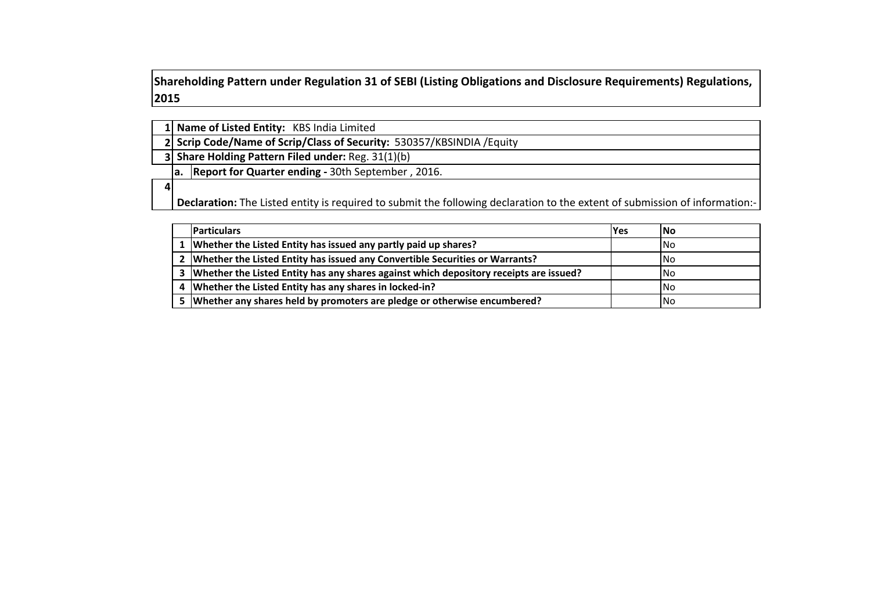**Shareholding Pattern under Regulation 31 of SEBI (Listing Obligations and Disclosure Requirements) Regulations, 2015**

| 1 Name of Listed Entity: KBS India Limited |  |
|--------------------------------------------|--|
|--------------------------------------------|--|

**2 Scrip Code/Name of Scrip/Class of Security:** 530357/KBSINDIA /Equity

**3 Share Holding Pattern Filed under:** Reg. 31(1)(b)

**a. Report for Quarter ending ‐** 30th September , 2016.

**4**

**Declaration:** The Listed entity is required to submit the following declaration to the extent of submission of information:‐

| <b>Particulars</b>                                                                         | <b>IYes</b> | lNo  |
|--------------------------------------------------------------------------------------------|-------------|------|
| 1 Whether the Listed Entity has issued any partly paid up shares?                          |             | INo. |
| 2 Whether the Listed Entity has issued any Convertible Securities or Warrants?             |             | INo. |
| 3   Whether the Listed Entity has any shares against which depository receipts are issued? |             | INo  |
| 4   Whether the Listed Entity has any shares in locked-in?                                 |             | INo. |
| 5 Whether any shares held by promoters are pledge or otherwise encumbered?                 |             | INo. |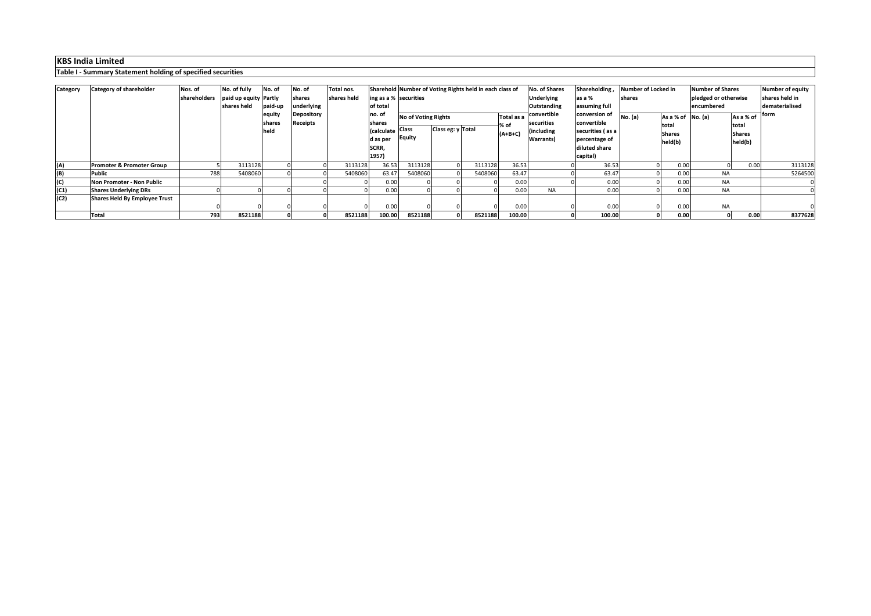# **KBS India Limited**

## **Table I ‐ Summary Statement holding of specified securities**

| Category | <b>Category of shareholder</b>       | Nos. of<br>shareholders | No. of fully<br>paid up equity Partly | No. of         | No. of<br>shares | Total nos.<br>shares held | ing as a % securities                 | Sharehold Number of Voting Rights held in each class of |                            |         |                           | No. of Shares<br>Shareholding,<br><b>Underlying</b><br>as a % |                                                  | Number of Locked in<br>shares |                   | Number of Shares<br>pledged or otherwise |                        | Number of equity<br>shares held in |
|----------|--------------------------------------|-------------------------|---------------------------------------|----------------|------------------|---------------------------|---------------------------------------|---------------------------------------------------------|----------------------------|---------|---------------------------|---------------------------------------------------------------|--------------------------------------------------|-------------------------------|-------------------|------------------------------------------|------------------------|------------------------------------|
|          |                                      |                         | shares held                           | paid-up        | underlying       |                           | of total                              |                                                         |                            |         |                           | Outstanding                                                   | assuming full                                    |                               |                   | encumbered                               |                        | dematerialised                     |
|          |                                      |                         |                                       | equity         | Depository       |                           | no.o                                  |                                                         | <b>No of Voting Rights</b> |         | convertible<br>Total as a |                                                               | conversion of                                    | No. (a)                       | As a % of No. (a) |                                          | As a % of              | form                               |
|          |                                      |                         |                                       | shares<br>held | Receipts         |                           | shares<br>Calculate Class<br>d as per | Equity                                                  | Class eg: y Total          |         | % of<br>$(A+B+C)$         | securities<br>(including<br>Warrants)                         | convertible<br>securities (as a<br>percentage of | total                         | <b>Shares</b>     |                                          | total<br><b>Shares</b> |                                    |
|          |                                      |                         |                                       |                |                  |                           | SCRR,                                 |                                                         |                            |         |                           |                                                               | diluted share                                    |                               | held(b)           |                                          | held(b)                |                                    |
|          |                                      |                         |                                       |                |                  |                           | 1957)                                 |                                                         |                            |         |                           |                                                               | capital)                                         |                               |                   |                                          |                        |                                    |
| (A)      | <b>Promoter &amp; Promoter Group</b> |                         | 3113128                               |                |                  | 3113128                   | 36.53                                 | 3113128                                                 |                            | 3113128 | 36.53                     |                                                               | 36.53                                            |                               | 0.00              |                                          | 0.01                   | 3113128                            |
| (B)      | <b>Public</b>                        | 788                     | 5408060                               |                |                  | 5408060                   | 63.47                                 | 5408060                                                 |                            | 5408060 | 63.47                     |                                                               | 63.47                                            |                               | 0.00              | <b>NA</b>                                |                        | 5264500                            |
| (C)      | Non Promoter - Non Public            |                         |                                       |                |                  |                           | 0.00                                  |                                                         |                            |         | 0.00                      |                                                               | 0.00                                             |                               | 0.00              | <b>NA</b>                                |                        |                                    |
| (C1)     | <b>Shares Underlying DRs</b>         |                         |                                       |                |                  |                           | 0.00                                  |                                                         |                            |         | 0.00                      | <b>NA</b>                                                     | 0.00                                             |                               | 0.00              | <b>NA</b>                                |                        |                                    |
| (C2)     | Shares Held By Employee Trust        |                         |                                       |                |                  |                           |                                       |                                                         |                            |         |                           |                                                               |                                                  |                               |                   |                                          |                        |                                    |
|          |                                      |                         |                                       |                |                  |                           | 0.00                                  |                                                         |                            |         | 0.00                      |                                                               | 0.00                                             |                               | 0.00              | <b>NA</b>                                |                        |                                    |
|          | <b>Total</b>                         | 793                     | 8521188                               |                |                  | 8521188                   | 100.00                                | 8521188                                                 |                            | 8521188 | 100.00                    |                                                               | 100.00                                           |                               | 0.00              |                                          | 0.00                   | 8377628                            |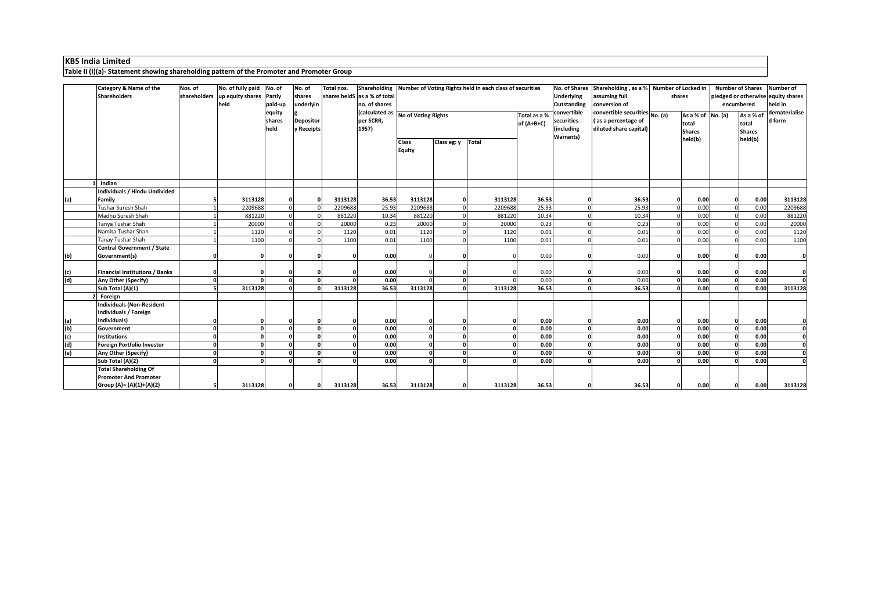KBS India Limited<br>Table II (I)(a)- Statement showing shareholding pattern of the Promoter and Promoter Group

|                   | Category & Name of the                  | Nos. of      | No. of fully paid No. of |         | No. of           | Total nos. |                                    |               |              | Shareholding Number of Voting Rights held in each class of securities |              | No. of Shares     |                                | Shareholding, as a % Number of Locked in |                   | <b>Number of Shares</b> |               | <b>Number of</b>                   |  |
|-------------------|-----------------------------------------|--------------|--------------------------|---------|------------------|------------|------------------------------------|---------------|--------------|-----------------------------------------------------------------------|--------------|-------------------|--------------------------------|------------------------------------------|-------------------|-------------------------|---------------|------------------------------------|--|
|                   | <b>Shareholders</b>                     | shareholders | up equity shares Partly  |         | shares           |            | shares heldS as a % of total       |               |              |                                                                       |              | <b>Underlying</b> |                                | assuming full<br>shares                  |                   |                         |               | pledged or otherwise equity shares |  |
|                   |                                         |              | held                     | paid-up | underlyin        |            | no. of shares                      |               |              |                                                                       |              | Outstanding       | conversion of                  |                                          |                   | encumbered              |               | held in                            |  |
|                   |                                         |              |                          |         |                  |            |                                    |               |              |                                                                       |              | convertible       |                                |                                          |                   |                         |               | dematerialise                      |  |
|                   |                                         |              |                          | equity  |                  |            | (calculated as No of Voting Rights |               |              |                                                                       | Total as a % |                   | convertible securities No. (a) |                                          | As a % of No. (a) |                         | As a % of     |                                    |  |
|                   |                                         |              |                          | shares  | <b>Depositor</b> |            | per SCRR,                          |               | of $(A+B+C)$ |                                                                       |              | securities        | (as a percentage of            |                                          | total             |                         | total         | d form                             |  |
|                   |                                         |              |                          | held    | y Receipts       |            | 1957)                              |               |              |                                                                       |              | (including        | diluted share capital)         |                                          | <b>Shares</b>     |                         | <b>Shares</b> |                                    |  |
|                   |                                         |              |                          |         |                  |            |                                    | Class         | Class eg: y  | <b>Total</b>                                                          |              | <b>Warrants)</b>  |                                |                                          | held(b)           |                         | held(b)       |                                    |  |
|                   |                                         |              |                          |         |                  |            |                                    | <b>Equity</b> |              |                                                                       |              |                   |                                |                                          |                   |                         |               |                                    |  |
|                   |                                         |              |                          |         |                  |            |                                    |               |              |                                                                       |              |                   |                                |                                          |                   |                         |               |                                    |  |
|                   |                                         |              |                          |         |                  |            |                                    |               |              |                                                                       |              |                   |                                |                                          |                   |                         |               |                                    |  |
|                   |                                         |              |                          |         |                  |            |                                    |               |              |                                                                       |              |                   |                                |                                          |                   |                         |               |                                    |  |
|                   |                                         |              |                          |         |                  |            |                                    |               |              |                                                                       |              |                   |                                |                                          |                   |                         |               |                                    |  |
|                   | Indian<br>Individuals / Hindu Undivided |              |                          |         |                  |            |                                    |               |              |                                                                       |              |                   |                                |                                          |                   |                         |               |                                    |  |
|                   |                                         |              |                          |         |                  |            |                                    |               |              |                                                                       |              |                   |                                |                                          |                   |                         |               |                                    |  |
| (a)               | Family                                  |              | 3113128                  |         | $\sqrt{2}$       | 3113128    | 36.53                              | 3113128       |              | 3113128                                                               | 36.53        |                   | 36.53                          |                                          | 0.00              | $\Omega$                | 0.00          | 3113128                            |  |
|                   | <b>Tushar Suresh Shah</b>               |              | 2209688                  |         |                  | 2209688    | 25.93                              | 2209688       | $\Omega$     | 2209688                                                               | 25.93        |                   | 25.93                          |                                          | 0.00              |                         | 0.00          | 2209688                            |  |
|                   | Madhu Suresh Shah                       |              | 881220                   |         |                  | 881220     | 10.34                              | 881220        |              | 881220                                                                | 10.34        |                   | 10.34                          |                                          | 0.00              |                         | 0.00          | 881220                             |  |
|                   | Tanya Tushar Shah                       |              | 20000                    |         |                  | 20000      | 0.23                               | 20000         |              | 20000                                                                 | 0.23         |                   | 0.23                           |                                          | 0.00              |                         | 0.00          | 20000                              |  |
|                   | Namita Tushar Shah                      |              | 1120                     |         |                  | 1120       | 0.01                               | 1120          |              | 1120                                                                  | 0.01         |                   | 0.01                           |                                          | 0.00              |                         | 0.00          | 1120                               |  |
|                   | <b>Tanay Tushar Shah</b>                |              | 1100                     |         |                  | 1100       | 0.01                               | 1100          |              | 1100                                                                  | 0.01         |                   | 0.01                           |                                          | 0.00              |                         | 0.00          | 1100                               |  |
|                   | <b>Central Government / State</b>       |              |                          |         |                  |            |                                    |               |              |                                                                       |              |                   |                                |                                          |                   |                         |               |                                    |  |
| (b)               | Government(s)                           |              |                          |         |                  |            | 0.00                               |               |              |                                                                       | 0.00         |                   | 0.00                           |                                          | 0.00              | n                       | 0.00          | $\mathbf{0}$                       |  |
|                   |                                         |              |                          |         |                  |            |                                    |               |              |                                                                       |              |                   |                                |                                          |                   |                         |               |                                    |  |
| (c)<br>(d)        | <b>Financial Institutions / Banks</b>   |              |                          |         |                  |            | 0.00                               |               | O            |                                                                       | 0.00         |                   | 0.00                           |                                          | 0.00              |                         | 0.00          | 0                                  |  |
|                   | Any Other (Specify)                     |              |                          |         |                  |            | 0.00                               |               | $\mathbf{0}$ |                                                                       | 0.00         |                   | 0.00                           |                                          | 0.00              | $\Omega$                | 0.00          | $\Omega$                           |  |
|                   | Sub Total (A)(1)                        |              | 3113128                  |         |                  | 3113128    | 36.53                              | 3113128       | $\Omega$     | 3113128                                                               | 36.53        |                   | 36.53                          |                                          | 0.00              | $\Omega$                | 0.00          | 3113128                            |  |
|                   | Foreign                                 |              |                          |         |                  |            |                                    |               |              |                                                                       |              |                   |                                |                                          |                   |                         |               |                                    |  |
|                   | <b>Individuals (Non-Resident</b>        |              |                          |         |                  |            |                                    |               |              |                                                                       |              |                   |                                |                                          |                   |                         |               |                                    |  |
|                   | Individuals / Foreign                   |              |                          |         |                  |            |                                    |               |              |                                                                       |              |                   |                                |                                          |                   |                         |               |                                    |  |
|                   | Individuals)                            |              |                          |         | $\Omega$         |            | 0.00                               |               |              |                                                                       | 0.00         |                   | 0.00                           |                                          | 0.00              | $\Omega$                | 0.00          | 0                                  |  |
| (a)<br>(b)<br>(c) | Government                              | $\mathbf{a}$ |                          |         |                  |            | 0.00                               |               | $\Omega$     |                                                                       | 0.00         |                   | 0.00                           |                                          | 0.00              | $\Omega$                | 0.00          | $\mathbf{o}$                       |  |
|                   | <b>Institutions</b>                     |              |                          |         | $\mathbf{r}$     |            | 0.00                               |               | o            |                                                                       | 0.00         |                   | 0.00                           |                                          | 0.00              |                         | 0.00          | $\overline{\mathbf{0}}$            |  |
| (d)               | Foreign Portfolio Investor              |              |                          |         |                  |            | 0.00                               |               | $\Omega$     |                                                                       | 0.00         |                   | 0.00                           |                                          | 0.00              |                         | 0.00          | $\mathbf{0}$                       |  |
| (e)               | Any Other (Specify)                     |              |                          |         | $\Omega$         |            | 0.00                               |               | $\mathbf{0}$ |                                                                       | 0.00         |                   | 0.00                           |                                          | 0.00              |                         | 0.00          | $\mathbf{0}$                       |  |
|                   | Sub Total (A)(2)                        | $\mathbf{r}$ |                          |         | $\Omega$         |            | 0.00                               |               | $\Omega$     |                                                                       | 0.00         |                   | 0.00                           |                                          | 0.00              |                         | 0.00          | $\mathbf{0}$                       |  |
|                   | <b>Total Shareholding Of</b>            |              |                          |         |                  |            |                                    |               |              |                                                                       |              |                   |                                |                                          |                   |                         |               |                                    |  |
|                   | <b>Promoter And Promoter</b>            |              |                          |         |                  |            |                                    |               |              |                                                                       |              |                   |                                |                                          |                   |                         |               |                                    |  |
|                   | Group (A)= (A)(1)+(A)(2)                | 5            | 3113128                  |         | $\mathbf{0}$     | 3113128    | 36.53                              | 3113128       |              | 3113128                                                               | 36.53        |                   | 36.53                          |                                          | 0.00              | 0                       | 0.00          | 3113128                            |  |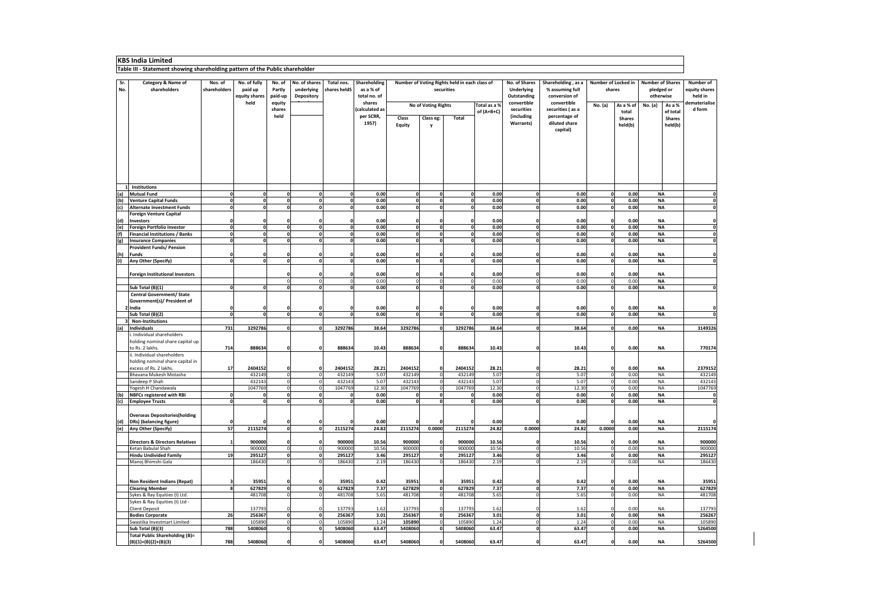### **KBS India Limited**

**Table III ‐ Statement showing shareholding pattern of the Public shareholder**

| Sr.<br>No. | Category & Name of<br>shareholders                                  | Nos. of<br>shareholders      | No. of fully<br>paid up<br>equity shares | No. of<br>Partly<br>paid-up          | No. of shares<br>underlying<br>Depository | Total nos.<br>shares heldS | Shareholding<br>as a % of<br>total no. of |                             |                                     | Number of Voting Rights held in each class of<br>securities |                           | No. of Shares<br><b>Underlying</b><br>Outstanding | Shareholding, as a<br>% assuming full<br>conversion of | Number of Locked in<br>shares  |                          |        | <b>Number of Shares</b><br>pledged or<br>otherwise | Number of<br>equity shares<br>held in |
|------------|---------------------------------------------------------------------|------------------------------|------------------------------------------|--------------------------------------|-------------------------------------------|----------------------------|-------------------------------------------|-----------------------------|-------------------------------------|-------------------------------------------------------------|---------------------------|---------------------------------------------------|--------------------------------------------------------|--------------------------------|--------------------------|--------|----------------------------------------------------|---------------------------------------|
|            |                                                                     |                              | held                                     | equity<br>shares                     |                                           |                            | shares<br>calculated as                   |                             | Total as a %<br>No of Voting Rights |                                                             | convertible<br>securities | convertible<br>securities (as a                   | No. (a)                                                | As a % of                      | No. (a)                  | As a % | dematerialise<br>d form                            |                                       |
|            |                                                                     |                              |                                          | held                                 |                                           |                            | per SCRR,                                 | Class                       | Class eg:                           | Total                                                       | of (A+B+C)                | (including                                        | percentage of                                          |                                | total                    |        | of total<br><b>Shares</b>                          |                                       |
|            |                                                                     |                              |                                          |                                      |                                           |                            | 1957)                                     | Equity                      | v                                   |                                                             |                           | Warrants)                                         | diluted share                                          |                                | <b>Shares</b><br>held(b) |        | held(b)                                            |                                       |
|            |                                                                     |                              |                                          |                                      |                                           |                            |                                           |                             |                                     |                                                             |                           |                                                   | capital)                                               |                                |                          |        |                                                    |                                       |
|            |                                                                     |                              |                                          |                                      |                                           |                            |                                           |                             |                                     |                                                             |                           |                                                   |                                                        |                                |                          |        |                                                    |                                       |
|            |                                                                     |                              |                                          |                                      |                                           |                            |                                           |                             |                                     |                                                             |                           |                                                   |                                                        |                                |                          |        |                                                    |                                       |
|            |                                                                     |                              |                                          |                                      |                                           |                            |                                           |                             |                                     |                                                             |                           |                                                   |                                                        |                                |                          |        |                                                    |                                       |
|            |                                                                     |                              |                                          |                                      |                                           |                            |                                           |                             |                                     |                                                             |                           |                                                   |                                                        |                                |                          |        |                                                    |                                       |
|            |                                                                     |                              |                                          |                                      |                                           |                            |                                           |                             |                                     |                                                             |                           |                                                   |                                                        |                                |                          |        |                                                    |                                       |
|            |                                                                     |                              |                                          |                                      |                                           |                            |                                           |                             |                                     |                                                             |                           |                                                   |                                                        |                                |                          |        |                                                    |                                       |
|            | 1 Institutions                                                      |                              |                                          |                                      |                                           |                            |                                           |                             |                                     |                                                             |                           |                                                   |                                                        |                                |                          |        |                                                    |                                       |
| (a)<br>(b) | <b>Mutual Fund</b><br><b>Venture Capital Funds</b>                  | $\mathbf{0}$<br>$\mathbf{0}$ | $\mathbf{0}$<br>$\mathbf 0$              | $\mathbf 0$<br>$\mathbf 0$           | $\mathbf{0}$<br>$\mathbf{0}$              | $\mathbf{0}$<br>0          | 0.00<br>0.00                              | $\mathbf 0$<br>$\mathbf{0}$ | $\mathbf{0}$<br>$\mathbf{0}$        | $\mathbf{0}$<br>0                                           | 0.00<br>0.00              | $\mathbf 0$<br>$\mathbf 0$                        | 0.00<br>0.00                                           | $\mathbf{0}$<br>0              | 0.00<br>0.00             |        | <b>NA</b><br><b>NA</b>                             | 0<br>0                                |
| (c)        | <b>Alternate Investment Funds</b>                                   | $\overline{0}$               | $\overline{0}$                           | ō                                    | $\overline{0}$                            | $\overline{0}$             | 0.00                                      | o                           | $\overline{0}$                      | $\overline{0}$                                              | 0.00                      | ō                                                 | 0.00                                                   | $\overline{0}$                 | 0.00                     |        | <b>NA</b>                                          | $\overline{\mathbf{0}}$               |
|            | Foreign Venture Capital                                             |                              |                                          |                                      |                                           |                            |                                           |                             |                                     |                                                             |                           |                                                   |                                                        |                                |                          |        |                                                    |                                       |
| (d)        | Investors                                                           | $\Omega$                     | $\mathbf{0}$                             | $\mathbf{0}$                         | $\mathbf{0}$                              | 0                          | 0.00                                      | $\mathbf 0$                 | $\mathbf{0}$                        | $\mathbf 0$                                                 | 0.00                      | 0                                                 | 0.00                                                   | $\mathbf{0}$                   | 0.00                     |        | <b>NA</b>                                          | 0                                     |
| (e)        | <b>Foreign Portfolio Investor</b>                                   | $\mathbf{0}$                 | $\mathbf{0}$                             | $\pmb{\mathsf{o}}$                   | $\mathbf{o}$                              | $\mathbf{0}$               | 0.00                                      | $\mathbf 0$                 | $\mathbf{0}$                        | $\mathbf{0}$                                                | 0.00                      | $\mathbf 0$                                       | 0.00                                                   | 0                              | 0.00                     |        | <b>NA</b>                                          | 0                                     |
| (f)<br>(g) | <b>Financial Institutions / Banks</b><br><b>Insurance Companies</b> | $\mathbf{0}$<br>$\mathbf{0}$ | $\mathbf 0$<br>$\mathbf{0}$              | $\mathbf 0$<br>$\mathbf{o}$          | $\mathbf{o}$<br>$\mathbf{0}$              | $\mathbf{0}$<br>0          | 0.00<br>0.00                              | $\mathbf 0$<br>$\mathbf 0$  | $\mathbf{0}$<br>$\mathbf{0}$        | $\mathbf{0}$<br>$\mathbf{0}$                                | 0.00<br>0.00              | $\mathbf 0$<br>$\mathbf 0$                        | 0.00<br>0.00                                           | $\mathbf{0}$<br>$\mathbf{0}$   | 0.00<br>0.00             |        | <b>NA</b><br><b>NA</b>                             | $\pmb{0}$<br>$\pmb{0}$                |
|            | <b>Provident Funds/ Pension</b>                                     |                              |                                          |                                      |                                           |                            |                                           |                             |                                     |                                                             |                           |                                                   |                                                        |                                |                          |        |                                                    |                                       |
| (h)        | <b>Funds</b>                                                        | $\mathbf{0}$                 | $\Omega$                                 | $\mathbf 0$                          | $\mathbf{0}$                              | $\Omega$                   | 0.00                                      | $\mathbf 0$                 | $\mathbf{0}$                        | $\mathbf{0}$                                                | 0.00                      | 0                                                 | 0.00                                                   | $\Omega$                       | 0.00                     |        | <b>NA</b>                                          | 0                                     |
| (i)        | Any Other (Specify)                                                 | $\mathbf{0}$                 | $\mathbf 0$                              | $\mathbf 0$                          | $\mathbf{0}$                              | $\mathbf{0}$               | 0.00                                      | $\mathbf 0$                 | o                                   | $\mathbf{0}$                                                | 0.00                      | $\mathbf 0$                                       | 0.00                                                   | $\mathbf{0}$                   | 0.00                     |        | <b>NA</b>                                          | $\overline{\mathbf{0}}$               |
|            | <b>Foreign Institutional Investors</b>                              |                              |                                          | $\Omega$                             | $\Omega$                                  | 0                          | 0.00                                      | $\mathbf{0}$                | $\Omega$                            | $\mathbf 0$                                                 | 0.00                      | 0                                                 | 0.00                                                   | $\Omega$                       | 0.00                     |        | <b>NA</b>                                          |                                       |
|            |                                                                     |                              |                                          | $\bf{0}$                             | $\bf{0}$                                  | $\mathbf 0$                | 0.00                                      | $\mathbf 0$                 | $\pmb{0}$                           | $\mathbf 0$                                                 | 0.00                      | $\mathbf 0$                                       | 0.00                                                   | $\mathbf 0$                    | 0.00                     |        | <b>NA</b>                                          |                                       |
|            | Sub Total (B)(1)                                                    | $\mathbf{0}$                 | $\mathbf 0$                              | $\mathbf 0$                          | $\mathbf{0}$                              | $\mathbf{0}$               | 0.00                                      | $\mathbf 0$                 | $\mathbf{0}$                        | 0                                                           | 0.00                      | $\mathbf 0$                                       | 0.00                                                   | $\mathbf{0}$                   | 0.00                     |        | <b>NA</b>                                          | $\pmb{0}$                             |
|            | <b>Central Government/ State</b>                                    |                              |                                          |                                      |                                           |                            |                                           |                             |                                     |                                                             |                           |                                                   |                                                        |                                |                          |        |                                                    |                                       |
|            | Government(s)/ President of                                         |                              |                                          |                                      |                                           |                            |                                           |                             |                                     |                                                             |                           |                                                   |                                                        |                                |                          |        |                                                    |                                       |
|            | 2 India<br>Sub Total (B)(2)                                         | $\Omega$<br>$\mathbf{0}$     | $\Omega$<br>$\mathbf{0}$                 | $\mathbf 0$<br>$\mathbf 0$           | $\mathbf{0}$                              | 0<br>0                     | 0.00<br>0.00                              | $\mathbf 0$<br>$\mathbf 0$  | $\mathbf{0}$<br> 0                  | $\mathbf{0}$<br>$\mathbf{0}$                                | 0.00<br>0.00              | $\Omega$<br>$\mathbf 0$                           | 0.00<br>0.00                                           | O<br>$\mathbf{0}$              | 0.00<br>0.00             |        | <b>NA</b><br><b>NA</b>                             | 0<br>0                                |
|            | 3 Non-Institutions                                                  |                              |                                          |                                      |                                           |                            |                                           |                             |                                     |                                                             |                           |                                                   |                                                        |                                |                          |        |                                                    |                                       |
| (a)        | Individuals                                                         | 731                          | 3292786                                  | $\pmb{\mathsf{o}}$                   | $\mathbf{0}$                              | 3292786                    | 38.64                                     | 3292786                     | 0                                   | 3292786                                                     | 38.64                     | $\mathbf 0$                                       | 38.64                                                  | $\pmb{\mathsf{o}}$             | 0.00                     |        | <b>NA</b>                                          | 3149326                               |
|            | i. Individual shareholders                                          |                              |                                          |                                      |                                           |                            |                                           |                             |                                     |                                                             |                           |                                                   |                                                        |                                |                          |        |                                                    |                                       |
|            | holding nominal share capital up<br>to Rs. 2 lakhs.                 | 714                          | 888634                                   | $\mathbf 0$                          | $\Omega$                                  | 888634                     | 10.43                                     | 888634                      | $\mathbf{0}$                        | 888634                                                      | 10.43                     | 0                                                 | 10.43                                                  | $\mathbf{0}$                   | 0.00                     |        | <b>NA</b>                                          | 770174                                |
|            | ii. Individual shareholders                                         |                              |                                          |                                      |                                           |                            |                                           |                             |                                     |                                                             |                           |                                                   |                                                        |                                |                          |        |                                                    |                                       |
|            | holding nominal share capital in                                    |                              |                                          |                                      |                                           |                            |                                           |                             |                                     |                                                             |                           |                                                   |                                                        |                                |                          |        |                                                    |                                       |
|            | excess of Rs. 2 lakhs.                                              | 17                           | 2404152                                  | $\mathbf{0}$                         | $\mathbf{0}$                              | 2404152                    | 28.21                                     | 2404152                     | $\mathbf{0}$                        | 2404152                                                     | 28.21                     | $\Omega$                                          | 28.21                                                  | $\mathbf{0}$                   | 0.00                     |        | <b>NA</b>                                          | 2379152                               |
|            | Bhavana Mukesh Motasha                                              |                              | 432149                                   | $\pmb{0}$                            | $\mathbf 0$                               | 432149                     | 5.07                                      | 432149                      | $\circ$                             | 432149                                                      | 5.07                      | $\mathbf 0$                                       | 5.07                                                   | $\Omega$                       | 0.00                     |        | <b>NA</b>                                          | 432149                                |
|            | Sandeep P Shah<br>Yogesh H Chandawala                               |                              | 432143<br>1047769                        | $\bf{0}$<br>$\mathbf 0$              | $\circ$<br>$\overline{0}$                 | 432143<br>1047769          | 5.07<br>12.30                             | 432143<br>1047769           | $\circ$<br>$\mathbf 0$              | 432143<br>1047769                                           | 5.07<br>12.30             | $\mathbf 0$<br>$\mathbf 0$                        | 5.07<br>12.30                                          | $\mathbf 0$<br>$\overline{0}$  | 0.00<br>0.00             |        | NA<br><b>NA</b>                                    | 432143<br>1047769                     |
| (b)        | <b>NBFCs registered with RBI</b>                                    | $\mathbf{0}$                 | $\Omega$                                 | $\mathbf 0$                          | $\mathbf{0}$                              | $\mathbf{0}$               | 0.00                                      | $\Omega$                    | $\mathbf{0}$                        | $\mathbf 0$                                                 | 0.00                      | $\mathbf 0$                                       | 0.00                                                   | 0                              | 0.00                     |        | <b>NA</b>                                          | 0                                     |
| (c)        | <b>Employee Trusts</b>                                              | $\mathbf{0}$                 | $\mathbf{o}$                             | $\mathbf 0$                          | $\mathbf{0}$                              | <sub>0</sub>               | 0.00                                      | $\mathbf 0$                 | $\mathbf{0}$                        | $\mathbf{0}$                                                | 0.00                      | $\mathbf{o}$                                      | 0.00                                                   | $\Omega$                       | 0.00                     |        | <b>NA</b>                                          | $\overline{\mathbf{0}}$               |
|            |                                                                     |                              |                                          |                                      |                                           |                            |                                           |                             |                                     |                                                             |                           |                                                   |                                                        |                                |                          |        |                                                    |                                       |
| (d)        | <b>Overseas Depositories(holding</b><br>DRs) (balancing figure)     |                              |                                          | $\mathbf{0}$                         | $\Omega$                                  |                            | 0.00                                      | $\Omega$                    | $\Omega$                            |                                                             | 0.00                      | O                                                 | 0.00                                                   |                                | 0.00                     |        | <b>NA</b>                                          | O                                     |
| (e)        | Any Other (Specify)                                                 | 57                           | 2115274                                  | $\pmb{\mathsf{o}}$                   | $\circ$                                   | 2115274                    | 24.82                                     | 2115274                     | 0.0000                              | 2115274                                                     | 24.82                     | 0.0000                                            | 24.82                                                  | 0.0000                         | 0.00                     |        | <b>NA</b>                                          | 2115174                               |
|            |                                                                     |                              |                                          |                                      |                                           |                            |                                           |                             |                                     |                                                             |                           |                                                   |                                                        |                                |                          |        |                                                    |                                       |
|            | <b>Directors &amp; Directors Relatives</b>                          |                              | 900000                                   | $\Omega$                             | $\Omega$                                  | 900000                     | 10.56                                     | 900000                      | $\Omega$                            | 900000                                                      | 10.56                     | $\Omega$                                          | 10.56                                                  | $\Omega$                       | 0.00                     |        | <b>NA</b>                                          | 900000                                |
|            | Ketan Babulal Shah<br><b>Hindu Undivided Family</b>                 | 19                           | 900000<br>295127                         | $\bf{0}$<br>$\pmb{\mathsf{o}}$       | $\mathbf 0$<br>$\mathbf{o}$               | 900000<br>295127           | 10.56<br>3.46                             | 900000<br>295127            | $\mathbf 0$<br>$\mathbf{0}$         | 900000<br>295127                                            | 10.56<br>3.46             | $\mathbf 0$<br>$\mathbf 0$                        | 10.56<br>3.46                                          | $\overline{0}$<br>$\mathbf{0}$ | 0.00<br>0.00             |        | <b>NA</b><br><b>NA</b>                             | 900000<br>295127                      |
|            | Manoj Bhimshi Gala                                                  |                              | 186430                                   | $\mathbf 0$                          | $\mathbf 0$                               | 186430                     | 2.19                                      | 186430                      | $\mathsf 0$                         | 186430                                                      | 2.19                      | $\mathbf 0$                                       | 2.19                                                   | $\Omega$                       | 0.00                     |        | <b>NA</b>                                          | 186430                                |
|            |                                                                     |                              |                                          |                                      |                                           |                            |                                           |                             |                                     |                                                             |                           |                                                   |                                                        |                                |                          |        |                                                    |                                       |
|            |                                                                     |                              |                                          |                                      |                                           |                            |                                           |                             |                                     |                                                             |                           |                                                   |                                                        |                                |                          |        |                                                    |                                       |
|            | Non Resident Indians (Repat)<br><b>Clearing Member</b>              | 3<br>8                       | 35951<br>627829                          | $\mathbf 0$<br>$\pmb{\mathsf{o}}$    | 0<br>0                                    | 35951<br>627829            | 0.42<br>7.37                              | 35951<br>627829             | 0<br>$\pmb{\mathsf{o}}$             | 35951<br>627829                                             | 0.42<br>7.37              | 0<br>$\mathbf 0$                                  | 0.42<br>7.37                                           | 0<br>$\mathbf{0}$              | 0.00<br>0.00             |        | <b>NA</b><br><b>NA</b>                             | 35951<br>627829                       |
|            | Sykes & Ray Equities (I) Ltd.                                       |                              | 481708                                   | $\mathbf 0$                          | $\overline{0}$                            | 481708                     | 5.65                                      | 481708                      | $\mathbf 0$                         | 481708                                                      | 5.65                      | $\mathbf 0$                                       | 5.65                                                   | $\Omega$                       | 0.00                     |        | <b>NA</b>                                          | 481708                                |
|            | Sykes & Ray Equities (I) Ltd -                                      |                              |                                          |                                      |                                           |                            |                                           |                             |                                     |                                                             |                           |                                                   |                                                        |                                |                          |        |                                                    |                                       |
|            | <b>Client Deposit</b>                                               |                              | 137793                                   | $\mathbf 0$                          | $\mathbf 0$                               | 137793                     | 1.62                                      | 137793                      | $\pmb{0}$                           | 137793                                                      | 1.62                      | $\Omega$                                          | 1.62                                                   | $\Omega$                       | 0.00                     |        | <b>NA</b>                                          | 137793                                |
|            | <b>Bodies Corporate</b>                                             | 26                           | 256367<br>105890                         | $\pmb{\mathsf{o}}$<br>$\overline{0}$ | 0<br>$\mathbf 0$                          | 256367<br>105890           | 3.01<br>1.24                              | 256367<br>105890            | $\mathbf{0}$<br>$\pmb{0}$           | 256367<br>105890                                            | 3.01<br>1.24              | $\pmb{\mathsf{o}}$                                | 3.01<br>1.24                                           | $\mathbf{0}$<br>$\Omega$       | 0.00<br>0.00             |        | <b>NA</b><br><b>NA</b>                             | 256267<br>105890                      |
|            | Swastika Investmart Limited<br>Sub Total (B)(3)                     | 788                          | 5408060                                  | o                                    | $\mathbf{0}$                              | 5408060                    | 63.47                                     | 5408060                     | $\overline{\mathbf{0}}$             | 5408060                                                     | 63.47                     | $\mathbf 0$<br>$\mathbf 0$                        | 63.47                                                  | $\mathbf{0}$                   | 0.00                     |        | <b>NA</b>                                          | 5264500                               |
|            | <b>Total Public Shareholding (B)=</b>                               |                              |                                          |                                      |                                           |                            |                                           |                             |                                     |                                                             |                           |                                                   |                                                        |                                |                          |        |                                                    |                                       |
|            | $(B)(1)+(B)(2)+(B)(3)$                                              | 788                          | 5408060                                  |                                      | $\Omega$                                  | 5408060                    | 63.47                                     | 5408060                     | $\Omega$                            | 5408060                                                     | 63.47                     | $\mathbf{0}$                                      | 63.47                                                  |                                | 0.00                     |        | <b>NA</b>                                          | 5264500                               |